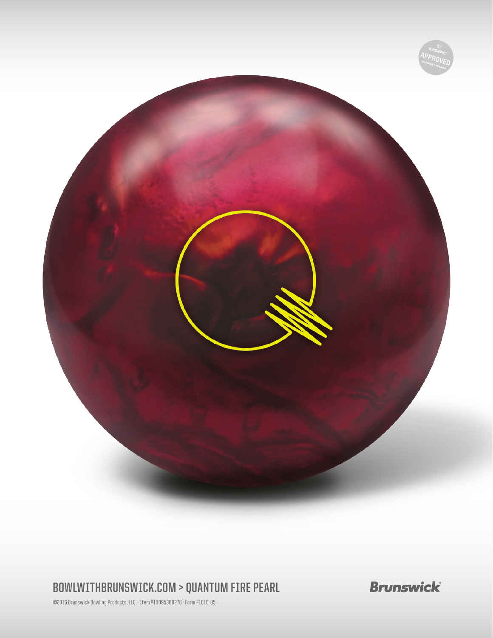

## **BOWLWITHBRUNSWICK.COM > QUANTUM FIRE PEARL**

**Brunswick** 

©2016 Brunswick Bowling Products, LLC. · Item #10095300276 · Form #1016-05